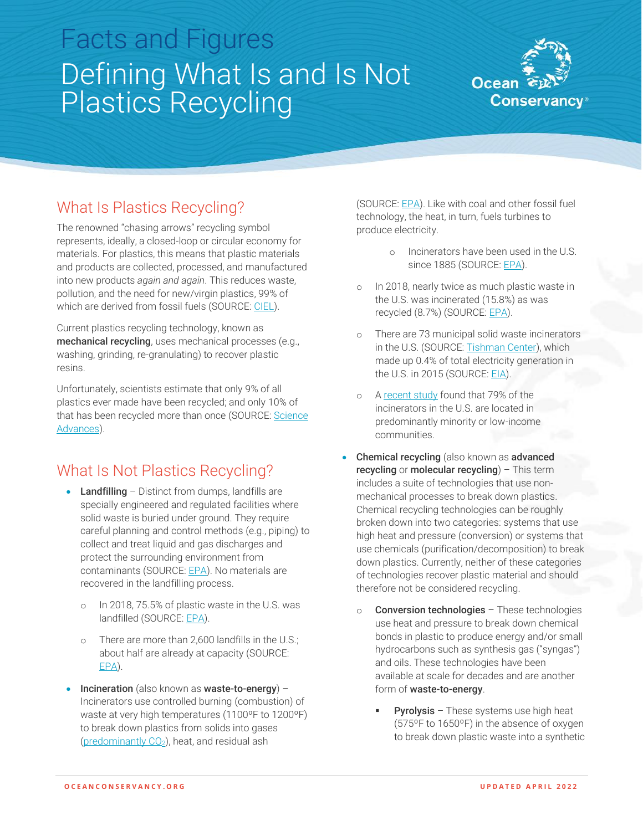# Facts and Figures Defining What Is and Is Not Plastics Recycling



## What Is Plastics Recycling?

The renowned "chasing arrows" recycling symbol represents, ideally, a closed-loop or circular economy for materials. For plastics, this means that plastic materials and products are collected, processed, and manufactured into new products *again and again*. This reduces waste, pollution, and the need for new/virgin plastics, 99% of which are derived from fossil fuels (SOURCE: [CIEL\)](https://www.ciel.org/wp-content/uploads/2017/09/Fueling-Plastics-Fossils-Plastics-Petrochemical-Feedstocks.pdf).

Current plastics recycling technology, known as mechanical recycling, uses mechanical processes (e.g., washing, grinding, re-granulating) to recover plastic resins.

Unfortunately, scientists estimate that only 9% of all plastics ever made have been recycled; and only 10% of that has been recycled more than once (SOURCE: Science [Advances\)](https://www.science.org/doi/10.1126/sciadv.1700782).

### What Is Not Plastics Recycling?

- Landfilling Distinct from dumps, landfills are specially engineered and regulated facilities where solid waste is buried under ground. They require careful planning and control methods (e.g., piping) to collect and treat liquid and gas discharges and protect the surrounding environment from contaminants (SOURCE[: EPA\)](https://www.epa.gov/landfills/basic-information-about-landfills#whatis). No materials are recovered in the landfilling process.
	- o In 2018, 75.5% of plastic waste in the U.S. was landfilled (SOURCE[: EPA\)](https://www.epa.gov/sites/default/files/2021-01/documents/2018_ff_fact_sheet_dec_2020_fnl_508.pdf).
	- o There are more than 2,600 landfills in the U.S.; about half are already at capacity (SOURCE: [EPA\)](https://www.epa.gov/lmop/landfill-technical-data).
- Incineration (also known as waste-to-energy) Incinerators use controlled burning (combustion) of waste at very high temperatures (1100ºF to 1200ºF) to break down plastics from solids into gases (predominantly  $CO<sub>2</sub>$ ), heat, and residual ash

(SOURCE[: EPA\)](https://www.epa.gov/sites/default/files/2017-02/documents/incin.pdf). Like with coal and other fossil fuel technology, the heat, in turn, fuels turbines to produce electricity.

- o Incinerators have been used in the U.S. since 1885 (SOURCE: [EPA\)](https://www.epa.gov/smm/energy-recovery-combustion-municipal-solid-waste-msw#:~:text=Energy%20recovery%20from%20waste%20is,often%20called%20waste%20to%20energy.).
- o In 2018, nearly twice as much plastic waste in the U.S. was incinerated (15.8%) as was recycled (8.7%) (SOURCE: [EPA\)](https://www.epa.gov/sites/default/files/2021-01/documents/2018_ff_fact_sheet_dec_2020_fnl_508.pdf).
- o There are 73 municipal solid waste incinerators in the U.S. (SOURCE[: Tishman Center\)](https://www.no-burn.org/wp-content/uploads/2021/03/CR_GaiaReportFinal_05.21.pdf), which made up 0.4% of total electricity generation in the U.S. in 2015 (SOURCE: [EIA\)](https://www.eia.gov/todayinenergy/detail.php?id=25732).
- o [A recent study](https://www.no-burn.org/wp-content/uploads/2021/03/CR_GaiaReportFinal_05.21.pdf) found that 79% of the incinerators in the U.S. are located in predominantly minority or low-income communities.
- Chemical recycling (also known as advanced recycling or molecular recycling) – This term includes a suite of technologies that use nonmechanical processes to break down plastics. Chemical recycling technologies can be roughly broken down into two categories: systems that use high heat and pressure (conversion) or systems that use chemicals (purification/decomposition) to break down plastics. Currently, neither of these categories of technologies recover plastic material and should therefore not be considered recycling.
	- o Conversion technologies These technologies use heat and pressure to break down chemical bonds in plastic to produce energy and/or small hydrocarbons such as synthesis gas ("syngas") and oils. These technologies have been available at scale for decades and are another form of waste-to-energy.
		- **Pyrolysis** These systems use high heat (575ºF to 1650ºF) in the absence of oxygen to break down plastic waste into a synthetic